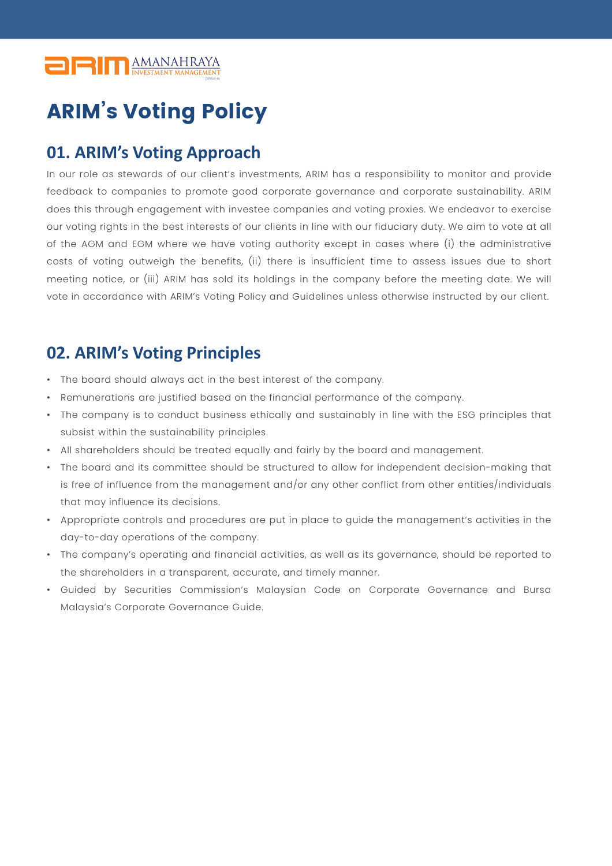

## ARIM's Voting Policy

## **01. ARIM's Voting Approach**

In our role as stewards of our client's investments, ARIM has a responsibility to monitor and provide feedback to companies to promote good corporate governance and corporate sustainability. ARIM does this through engagement with investee companies and voting proxies. We endeavor to exercise our voting rights in the best interests of our clients in line with our fiduciary duty. We aim to vote at all of the AGM and EGM where we have voting authority except in cases where (i) the administrative costs of voting outweigh the benefits, (ii) there is insufficient time to assess issues due to short meeting notice, or (iii) ARIM has sold its holdings in the company before the meeting date. We will vote in accordance with ARIM's Voting Policy and Guidelines unless otherwise instructed by our client.

## **02. ARIM's Voting Principles**

- The board should always act in the best interest of the company.
- Remunerations are justified based on the financial performance of the company.
- The company is to conduct business ethically and sustainably in line with the ESG principles that subsist within the sustainability principles.
- All shareholders should be treated equally and fairly by the board and management.
- The board and its committee should be structured to allow for independent decision-making that is free of influence from the management and/or any other conflict from other entities/individuals that may influence its decisions.
- Appropriate controls and procedures are put in place to guide the management's activities in the day-to-day operations of the company.
- The company's operating and financial activities, as well as its governance, should be reported to the shareholders in a transparent, accurate, and timely manner.
- Guided by Securities Commission's Malaysian Code on Corporate Governance and Bursa Malaysia's Corporate Governance Guide.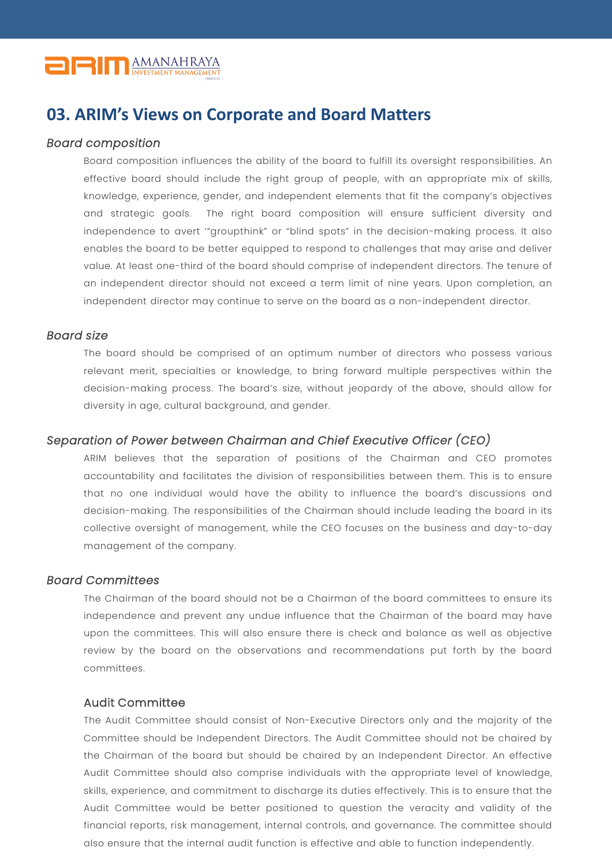

### **03. ARIM's Views on Corporate and Board Matters**

#### *Board composition*

Board composition influences the ability of the board to fulfill its oversight responsibilities. An effective board should include the right group of people, with an appropriate mix of skills, knowledge, experience, gender, and independent elements that fit the company's objectives and strategic goals. The right board composition will ensure sufficient diversity and independence to avert '"groupthink" or "blind spots" in the decision-making process. It also enables the board to be better equipped to respond to challenges that may arise and deliver value. At least one-third of the board should comprise of independent directors. The tenure of an independent director should not exceed a term limit of nine years. Upon completion, an independent director may continue to serve on the board as a non-independent director.

#### *Board size*

The board should be comprised of an optimum number of directors who possess various relevant merit, specialties or knowledge, to bring forward multiple perspectives within the decision-making process. The board's size, without jeopardy of the above, should allow for diversity in age, cultural background, and gender.

#### *Separation of Power between Chairman and Chief Executive Officer (CEO)*

ARIM believes that the separation of positions of the Chairman and CEO promotes accountability and facilitates the division of responsibilities between them. This is to ensure that no one individual would have the ability to influence the board's discussions and decision-making. The responsibilities of the Chairman should include leading the board in its collective oversight of management, while the CEO focuses on the business and day-to-day management of the company.

#### *Board Committees*

The Chairman of the board should not be a Chairman of the board committees to ensure its independence and prevent any undue influence that the Chairman of the board may have upon the committees. This will also ensure there is check and balance as well as objective review by the board on the observations and recommendations put forth by the board committees.

#### Audit Committee

The Audit Committee should consist of Non-Executive Directors only and the majority of the Committee should be Independent Directors. The Audit Committee should not be chaired by the Chairman of the board but should be chaired by an Independent Director. An effective Audit Committee should also comprise individuals with the appropriate level of knowledge, skills, experience, and commitment to discharge its duties effectively. This is to ensure that the Audit Committee would be better positioned to question the veracity and validity of the financial reports, risk management, internal controls, and governance. The committee should also ensure that the internal audit function is effective and able to function independently.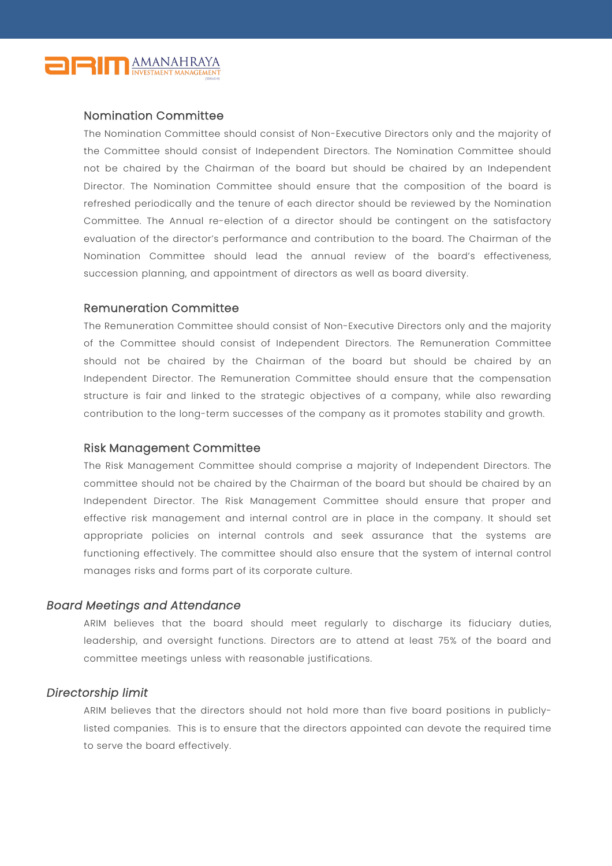

#### Nomination Committee

The Nomination Committee should consist of Non-Executive Directors only and the majority of the Committee should consist of Independent Directors. The Nomination Committee should not be chaired by the Chairman of the board but should be chaired by an Independent Director. The Nomination Committee should ensure that the composition of the board is refreshed periodically and the tenure of each director should be reviewed by the Nomination Committee. The Annual re-election of a director should be contingent on the satisfactory evaluation of the director's performance and contribution to the board. The Chairman of the Nomination Committee should lead the annual review of the board's effectiveness, succession planning, and appointment of directors as well as board diversity.

#### Remuneration Committee

The Remuneration Committee should consist of Non-Executive Directors only and the majority of the Committee should consist of Independent Directors. The Remuneration Committee should not be chaired by the Chairman of the board but should be chaired by an Independent Director. The Remuneration Committee should ensure that the compensation structure is fair and linked to the strategic objectives of a company, while also rewarding contribution to the long-term successes of the company as it promotes stability and growth.

#### Risk Management Committee

The Risk Management Committee should comprise a majority of Independent Directors. The committee should not be chaired by the Chairman of the board but should be chaired by an Independent Director. The Risk Management Committee should ensure that proper and effective risk management and internal control are in place in the company. It should set appropriate policies on internal controls and seek assurance that the systems are functioning effectively. The committee should also ensure that the system of internal control manages risks and forms part of its corporate culture.

#### *Board Meetings and Attendance*

ARIM believes that the board should meet regularly to discharge its fiduciary duties, leadership, and oversight functions. Directors are to attend at least 75% of the board and committee meetings unless with reasonable justifications.

#### *Directorship limit*

ARIM believes that the directors should not hold more than five board positions in publiclylisted companies. This is to ensure that the directors appointed can devote the required time to serve the board effectively.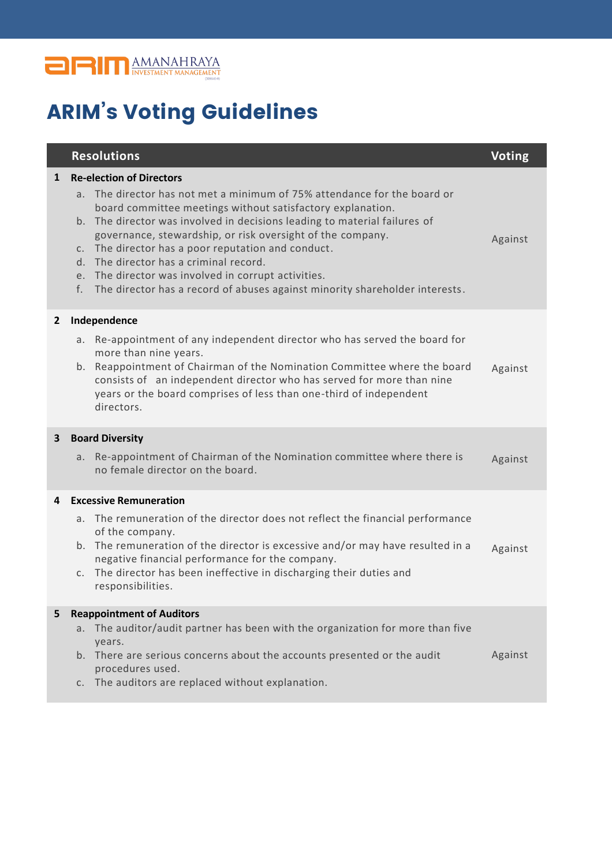

# ARIM's Voting Guidelines

|              | <b>Resolutions</b>                                                                                                                                                                                                                                                                                                                                                                                                                                                                                                                                                     | <b>Voting</b> |
|--------------|------------------------------------------------------------------------------------------------------------------------------------------------------------------------------------------------------------------------------------------------------------------------------------------------------------------------------------------------------------------------------------------------------------------------------------------------------------------------------------------------------------------------------------------------------------------------|---------------|
| $\mathbf{1}$ | <b>Re-election of Directors</b><br>a. The director has not met a minimum of 75% attendance for the board or<br>board committee meetings without satisfactory explanation.<br>The director was involved in decisions leading to material failures of<br>b.<br>governance, stewardship, or risk oversight of the company.<br>The director has a poor reputation and conduct.<br>C.<br>d. The director has a criminal record.<br>e. The director was involved in corrupt activities.<br>The director has a record of abuses against minority shareholder interests.<br>f. | Against       |
| 2            | Independence<br>Re-appointment of any independent director who has served the board for<br>а.<br>more than nine years.<br>Reappointment of Chairman of the Nomination Committee where the board<br>b.<br>consists of an independent director who has served for more than nine<br>years or the board comprises of less than one-third of independent<br>directors.                                                                                                                                                                                                     | Against       |
| 3            | <b>Board Diversity</b><br>Re-appointment of Chairman of the Nomination committee where there is<br>a.<br>no female director on the board.                                                                                                                                                                                                                                                                                                                                                                                                                              | Against       |
| 4            | <b>Excessive Remuneration</b><br>The remuneration of the director does not reflect the financial performance<br>a.<br>of the company.<br>The remuneration of the director is excessive and/or may have resulted in a<br>b.<br>negative financial performance for the company.<br>The director has been ineffective in discharging their duties and<br>C.<br>responsibilities.                                                                                                                                                                                          | Against       |
| 5            | <b>Reappointment of Auditors</b><br>The auditor/audit partner has been with the organization for more than five<br>a.<br>years.<br>b. There are serious concerns about the accounts presented or the audit<br>procedures used.<br>The auditors are replaced without explanation.<br>C.                                                                                                                                                                                                                                                                                 | Against       |